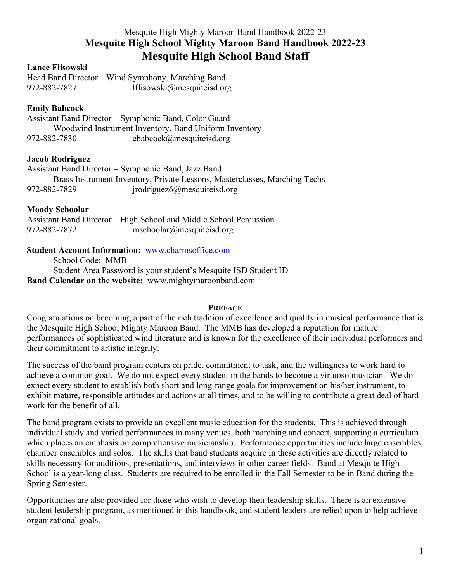# Mesquite High Mighty Maroon Band Handbook 2022-23 **Mesquite High School Mighty Maroon Band Handbook 2022-23 Mesquite High School Band Staff**

# **Lance Flisowski**

Head Band Director – Wind Symphony, Marching Band 972-882-7827 lflisowski@mesquiteisd.org

# **Emily Babcock**

Assistant Band Director – Symphonic Band, Color Guard Woodwind Instrument Inventory, Band Uniform Inventory 972-882-7830 ebabcock@mesquiteisd.org

# **Jacob Rodriguez**

|              | Assistant Band Director – Symphonic Band, Jazz Band                         |
|--------------|-----------------------------------------------------------------------------|
|              | Brass Instrument Inventory, Private Lessons, Master classes, Marching Techs |
| 972-882-7829 | ipodriguez 6@mesquiteis d.org                                               |

# **Moody Schoolar**

Assistant Band Director – High School and Middle School Percussion 972-882-7872 mschoolar@mesquiteisd.org

# **Student Account Information:** www.charmsoffice.com

School Code: MMB Student Area Password is your student's Mesquite ISD Student ID **Band Calendar on the website:** www.mightymaroonband.com

# **PREFACE**

Congratulations on becoming a part of the rich tradition of excellence and quality in musical performance that is the Mesquite High School Mighty Maroon Band. The MMB has developed a reputation for mature performances of sophisticated wind literature and is known for the excellence of their individual performers and their commitment to artistic integrity.

The success of the band program centers on pride, commitment to task, and the willingness to work hard to achieve a common goal. We do not expect every student in the bands to become a virtuoso musician. We do expect every student to establish both short and long-range goals for improvement on his/her instrument, to exhibit mature, responsible attitudes and actions at all times, and to be willing to contribute a great deal of hard work for the benefit of all.

The band program exists to provide an excellent music education for the students. This is achieved through individual study and varied performances in many venues, both marching and concert, supporting a curriculum which places an emphasis on comprehensive musicianship. Performance opportunities include large ensembles, chamber ensembles and solos. The skills that band students acquire in these activities are directly related to skills necessary for auditions, presentations, and interviews in other career fields. Band at Mesquite High School is a year-long class. Students are required to be enrolled in the Fall Semester to be in Band during the Spring Semester.

Opportunities are also provided for those who wish to develop their leadership skills. There is an extensive student leadership program, as mentioned in this handbook, and student leaders are relied upon to help achieve organizational goals.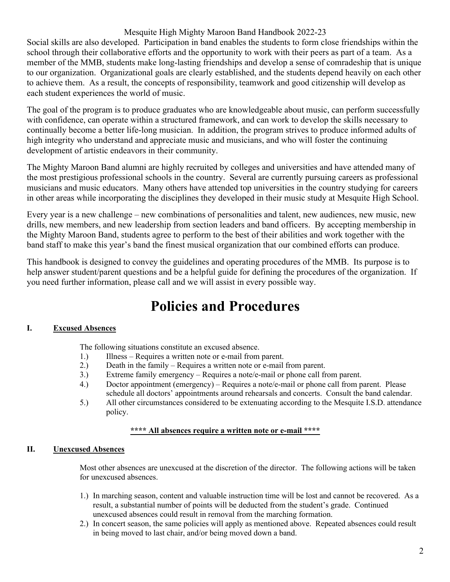Social skills are also developed. Participation in band enables the students to form close friendships within the school through their collaborative efforts and the opportunity to work with their peers as part of a team. As a member of the MMB, students make long-lasting friendships and develop a sense of comradeship that is unique to our organization. Organizational goals are clearly established, and the students depend heavily on each other to achieve them. As a result, the concepts of responsibility, teamwork and good citizenship will develop as each student experiences the world of music.

The goal of the program is to produce graduates who are knowledgeable about music, can perform successfully with confidence, can operate within a structured framework, and can work to develop the skills necessary to continually become a better life-long musician. In addition, the program strives to produce informed adults of high integrity who understand and appreciate music and musicians, and who will foster the continuing development of artistic endeavors in their community.

The Mighty Maroon Band alumni are highly recruited by colleges and universities and have attended many of the most prestigious professional schools in the country. Several are currently pursuing careers as professional musicians and music educators. Many others have attended top universities in the country studying for careers in other areas while incorporating the disciplines they developed in their music study at Mesquite High School.

Every year is a new challenge – new combinations of personalities and talent, new audiences, new music, new drills, new members, and new leadership from section leaders and band officers. By accepting membership in the Mighty Maroon Band, students agree to perform to the best of their abilities and work together with the band staff to make this year's band the finest musical organization that our combined efforts can produce.

This handbook is designed to convey the guidelines and operating procedures of the MMB. Its purpose is to help answer student/parent questions and be a helpful guide for defining the procedures of the organization. If you need further information, please call and we will assist in every possible way.

# **Policies and Procedures**

# **I. Excused Absences**

The following situations constitute an excused absence.

- 1.) Illness Requires a written note or e-mail from parent.
- 2.) Death in the family Requires a written note or e-mail from parent.
- 3.) Extreme family emergency Requires a note/e-mail or phone call from parent.
- 4.) Doctor appointment (emergency) Requires a note/e-mail or phone call from parent. Please schedule all doctors' appointments around rehearsals and concerts. Consult the band calendar.
- 5.) All other circumstances considered to be extenuating according to the Mesquite I.S.D. attendance policy.

# **\*\*\*\* All absences require a written note or e-mail \*\*\*\***

# **II. Unexcused Absences**

Most other absences are unexcused at the discretion of the director. The following actions will be taken for unexcused absences.

- 1.) In marching season, content and valuable instruction time will be lost and cannot be recovered. As a result, a substantial number of points will be deducted from the student's grade. Continued unexcused absences could result in removal from the marching formation.
- 2.) In concert season, the same policies will apply as mentioned above. Repeated absences could result in being moved to last chair, and/or being moved down a band.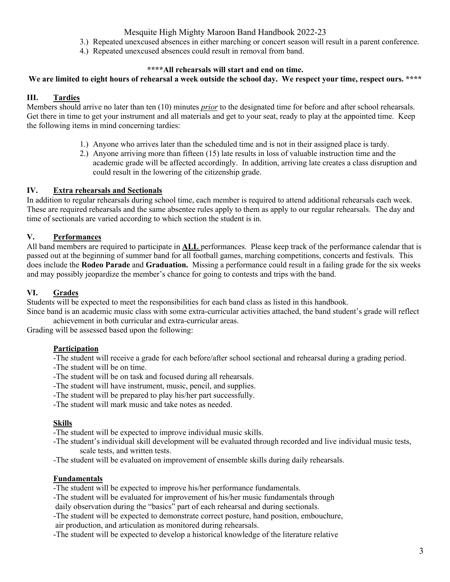- 3.) Repeated unexcused absences in either marching or concert season will result in a parent conference.
- 4.) Repeated unexcused absences could result in removal from band.

#### **\*\*\*\*All rehearsals will start and end on time.**

# **We are limited to eight hours of rehearsal a week outside the school day. We respect your time, respect ours. \*\*\*\***

# **III. Tardies**

Members should arrive no later than ten (10) minutes *prior* to the designated time for before and after school rehearsals. Get there in time to get your instrument and all materials and get to your seat, ready to play at the appointed time. Keep the following items in mind concerning tardies:

- 1.) Anyone who arrives later than the scheduled time and is not in their assigned place is tardy.
- 2.) Anyone arriving more than fifteen (15) late results in loss of valuable instruction time and the academic grade will be affected accordingly. In addition, arriving late creates a class disruption and could result in the lowering of the citizenship grade.

#### **IV. Extra rehearsals and Sectionals**

In addition to regular rehearsals during school time, each member is required to attend additional rehearsals each week. These are required rehearsals and the same absentee rules apply to them as apply to our regular rehearsals. The day and time of sectionals are varied according to which section the student is in.

# **V. Performances**

All band members are required to participate in **ALL** performances. Please keep track of the performance calendar that is passed out at the beginning of summer band for all football games, marching competitions, concerts and festivals. This does include the **Rodeo Parade** and **Graduation.** Missing a performance could result in a failing grade for the six weeks and may possibly jeopardize the member's chance for going to contests and trips with the band.

# **VI. Grades**

Students will be expected to meet the responsibilities for each band class as listed in this handbook.

Since band is an academic music class with some extra-curricular activities attached, the band student's grade will reflect achievement in both curricular and extra-curricular areas.

Grading will be assessed based upon the following:

#### **Participation**

-The student will receive a grade for each before/after school sectional and rehearsal during a grading period.

-The student will be on time.

- -The student will be on task and focused during all rehearsals.
- -The student will have instrument, music, pencil, and supplies.
- -The student will be prepared to play his/her part successfully.
- -The student will mark music and take notes as needed.

# **Skills**

-The student will be expected to improve individual music skills.

- -The student's individual skill development will be evaluated through recorded and live individual music tests, scale tests, and written tests.
- -The student will be evaluated on improvement of ensemble skills during daily rehearsals.

#### **Fundamentals**

-The student will be expected to improve his/her performance fundamentals.

-The student will be evaluated for improvement of his/her music fundamentals through

daily observation during the "basics" part of each rehearsal and during sectionals.

-The student will be expected to demonstrate correct posture, hand position, embouchure, air production, and articulation as monitored during rehearsals.

-The student will be expected to develop a historical knowledge of the literature relative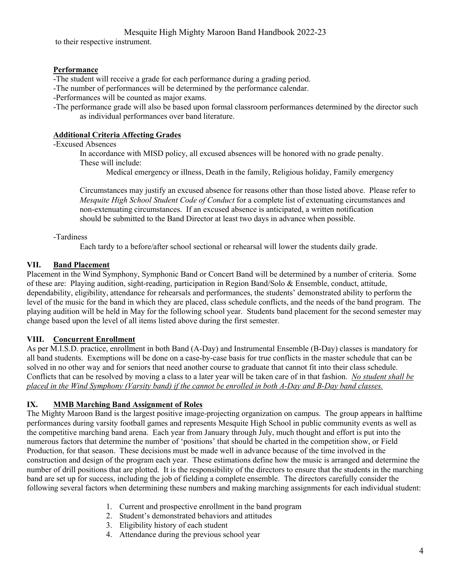to their respective instrument.

#### **Performance**

-The student will receive a grade for each performance during a grading period.

- -The number of performances will be determined by the performance calendar.
- -Performances will be counted as major exams.
- -The performance grade will also be based upon formal classroom performances determined by the director such as individual performances over band literature.

#### **Additional Criteria Affecting Grades**

#### -Excused Absences

In accordance with MISD policy, all excused absences will be honored with no grade penalty. These will include:

Medical emergency or illness, Death in the family, Religious holiday, Family emergency

Circumstances may justify an excused absence for reasons other than those listed above. Please refer to *Mesquite High School Student Code of Conduct* for a complete list of extenuating circumstances and non-extenuating circumstances. If an excused absence is anticipated, a written notification should be submitted to the Band Director at least two days in advance when possible.

#### -Tardiness

Each tardy to a before/after school sectional or rehearsal will lower the students daily grade.

# **VII. Band Placement**

Placement in the Wind Symphony, Symphonic Band or Concert Band will be determined by a number of criteria. Some of these are: Playing audition, sight-reading, participation in Region Band/Solo & Ensemble, conduct, attitude, dependability, eligibility, attendance for rehearsals and performances, the students' demonstrated ability to perform the level of the music for the band in which they are placed, class schedule conflicts, and the needs of the band program. The playing audition will be held in May for the following school year. Students band placement for the second semester may change based upon the level of all items listed above during the first semester.

# **VIII. Concurrent Enrollment**

As per M.I.S.D. practice, enrollment in both Band (A-Day) and Instrumental Ensemble (B-Day) classes is mandatory for all band students. Exemptions will be done on a case-by-case basis for true conflicts in the master schedule that can be solved in no other way and for seniors that need another course to graduate that cannot fit into their class schedule. Conflicts that can be resolved by moving a class to a later year will be taken care of in that fashion. *No student shall be placed in the Wind Symphony (Varsity band) if the cannot be enrolled in both A-Day and B-Day band classes.*

# **IX. MMB Marching Band Assignment of Roles**

The Mighty Maroon Band is the largest positive image-projecting organization on campus. The group appears in halftime performances during varsity football games and represents Mesquite High School in public community events as well as the competitive marching band arena. Each year from January through July, much thought and effort is put into the numerous factors that determine the number of 'positions' that should be charted in the competition show, or Field Production, for that season. These decisions must be made well in advance because of the time involved in the construction and design of the program each year. These estimations define how the music is arranged and determine the number of drill positions that are plotted. It is the responsibility of the directors to ensure that the students in the marching band are set up for success, including the job of fielding a complete ensemble. The directors carefully consider the following several factors when determining these numbers and making marching assignments for each individual student:

- 1. Current and prospective enrollment in the band program
- 2. Student's demonstrated behaviors and attitudes
- 3. Eligibility history of each student
- 4. Attendance during the previous school year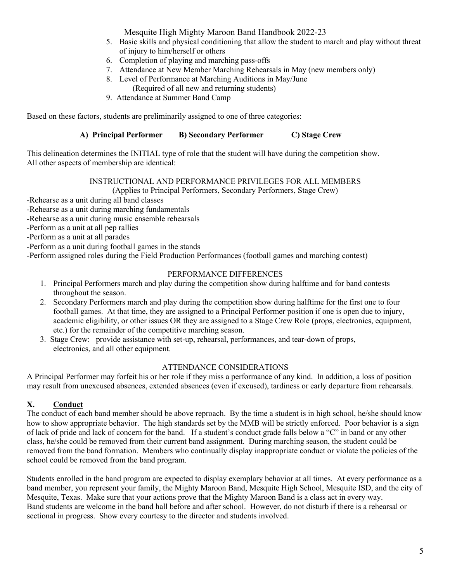- 5. Basic skills and physical conditioning that allow the student to march and play without threat of injury to him/herself or others
- 6. Completion of playing and marching pass-offs
- 7. Attendance at New Member Marching Rehearsals in May (new members only)
- 8. Level of Performance at Marching Auditions in May/June (Required of all new and returning students)
- 9. Attendance at Summer Band Camp

Based on these factors, students are preliminarily assigned to one of three categories:

# **A) Principal Performer B) Secondary Performer C) Stage Crew**

This delineation determines the INITIAL type of role that the student will have during the competition show. All other aspects of membership are identical:

# INSTRUCTIONAL AND PERFORMANCE PRIVILEGES FOR ALL MEMBERS

(Applies to Principal Performers, Secondary Performers, Stage Crew)

- -Rehearse as a unit during all band classes
- -Rehearse as a unit during marching fundamentals
- -Rehearse as a unit during music ensemble rehearsals
- -Perform as a unit at all pep rallies

-Perform as a unit at all parades

-Perform as a unit during football games in the stands

-Perform assigned roles during the Field Production Performances (football games and marching contest)

# PERFORMANCE DIFFERENCES

- 1. Principal Performers march and play during the competition show during halftime and for band contests throughout the season.
- 2. Secondary Performers march and play during the competition show during halftime for the first one to four football games. At that time, they are assigned to a Principal Performer position if one is open due to injury, academic eligibility, or other issues OR they are assigned to a Stage Crew Role (props, electronics, equipment, etc.) for the remainder of the competitive marching season.
- 3. Stage Crew: provide assistance with set-up, rehearsal, performances, and tear-down of props, electronics, and all other equipment.

#### ATTENDANCE CONSIDERATIONS

A Principal Performer may forfeit his or her role if they miss a performance of any kind. In addition, a loss of position may result from unexcused absences, extended absences (even if excused), tardiness or early departure from rehearsals.

# **X. Conduct**

The conduct of each band member should be above reproach. By the time a student is in high school, he/she should know how to show appropriate behavior. The high standards set by the MMB will be strictly enforced. Poor behavior is a sign of lack of pride and lack of concern for the band. If a student's conduct grade falls below a "C" in band or any other class, he/she could be removed from their current band assignment. During marching season, the student could be removed from the band formation. Members who continually display inappropriate conduct or violate the policies of the school could be removed from the band program.

Students enrolled in the band program are expected to display exemplary behavior at all times. At every performance as a band member, you represent your family, the Mighty Maroon Band, Mesquite High School, Mesquite ISD, and the city of Mesquite, Texas. Make sure that your actions prove that the Mighty Maroon Band is a class act in every way. Band students are welcome in the band hall before and after school. However, do not disturb if there is a rehearsal or sectional in progress. Show every courtesy to the director and students involved.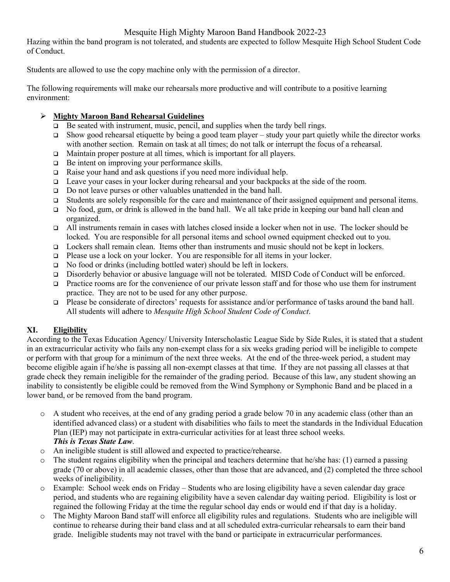Hazing within the band program is not tolerated, and students are expected to follow Mesquite High School Student Code of Conduct.

Students are allowed to use the copy machine only with the permission of a director.

The following requirements will make our rehearsals more productive and will contribute to a positive learning environment:

#### Ø **Mighty Maroon Band Rehearsal Guidelines**

- $\Box$  Be seated with instrument, music, pencil, and supplies when the tardy bell rings.
- Show good rehearsal etiquette by being a good team player study your part quietly while the director works with another section. Remain on task at all times; do not talk or interrupt the focus of a rehearsal.
- □ Maintain proper posture at all times, which is important for all players.
- $\Box$  Be intent on improving your performance skills.
- $\Box$  Raise your hand and ask questions if you need more individual help.
- $\Box$  Leave your cases in your locker during rehearsal and your backpacks at the side of the room.
- □ Do not leave purses or other valuables unattended in the band hall.
- $\Box$  Students are solely responsible for the care and maintenance of their assigned equipment and personal items.
- □ No food, gum, or drink is allowed in the band hall. We all take pride in keeping our band hall clean and organized.
- all instruments remain in cases with latches closed inside a locker when not in use. The locker should be locked. You are responsible for all personal items and school owned equipment checked out to you.
- q Lockers shall remain clean. Items other than instruments and music should not be kept in lockers.
- $\Box$  Please use a lock on your locker. You are responsible for all items in your locker.
- □ No food or drinks (including bottled water) should be left in lockers.
- q Disorderly behavior or abusive language will not be tolerated. MISD Code of Conduct will be enforced.
- $\Box$  Practice rooms are for the convenience of our private lesson staff and for those who use them for instrument practice. They are not to be used for any other purpose.
- $\Box$  Please be considerate of directors' requests for assistance and/or performance of tasks around the band hall. All students will adhere to *Mesquite High School Student Code of Conduct*.

# **XI. Eligibility**

According to the Texas Education Agency/ University Interscholastic League Side by Side Rules, it is stated that a student in an extracurricular activity who fails any non-exempt class for a six weeks grading period will be ineligible to compete or perform with that group for a minimum of the next three weeks. At the end of the three-week period, a student may become eligible again if he/she is passing all non-exempt classes at that time. If they are not passing all classes at that grade check they remain ineligible for the remainder of the grading period. Because of this law, any student showing an inability to consistently be eligible could be removed from the Wind Symphony or Symphonic Band and be placed in a lower band, or be removed from the band program.

- o A student who receives, at the end of any grading period a grade below 70 in any academic class (other than an identified advanced class) or a student with disabilities who fails to meet the standards in the Individual Education Plan (IEP) may not participate in extra-curricular activities for at least three school weeks. *This is Texas State Law*.
- o An ineligible student is still allowed and expected to practice/rehearse.
- o The student regains eligibility when the principal and teachers determine that he/she has: (1) earned a passing grade (70 or above) in all academic classes, other than those that are advanced, and (2) completed the three school weeks of ineligibility.
- o Example: School week ends on Friday Students who are losing eligibility have a seven calendar day grace period, and students who are regaining eligibility have a seven calendar day waiting period. Eligibility is lost or regained the following Friday at the time the regular school day ends or would end if that day is a holiday.
- o The Mighty Maroon Band staff will enforce all eligibility rules and regulations. Students who are ineligible will continue to rehearse during their band class and at all scheduled extra-curricular rehearsals to earn their band grade. Ineligible students may not travel with the band or participate in extracurricular performances.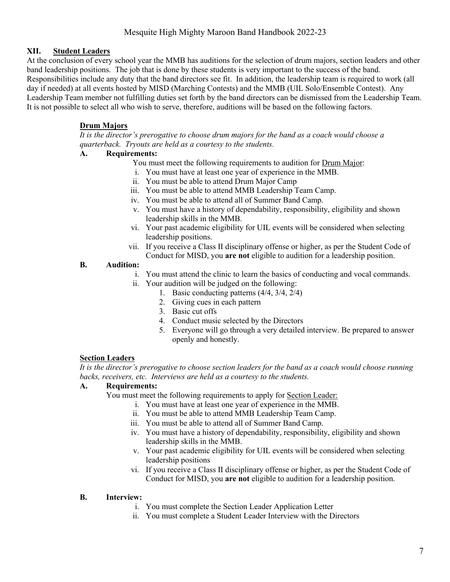# **XII. Student Leaders**

At the conclusion of every school year the MMB has auditions for the selection of drum majors, section leaders and other band leadership positions. The job that is done by these students is very important to the success of the band. Responsibilities include any duty that the band directors see fit. In addition, the leadership team is required to work (all day if needed) at all events hosted by MISD (Marching Contests) and the MMB (UIL Solo/Ensemble Contest). Any Leadership Team member not fulfilling duties set forth by the band directors can be dismissed from the Leadership Team. It is not possible to select all who wish to serve, therefore, auditions will be based on the following factors.

# **Drum Majors**

*It is the director's prerogative to choose drum majors for the band as a coach would choose a quarterback. Tryouts are held as a courtesy to the students.* 

# **A. Requirements:**

You must meet the following requirements to audition for Drum Major:

- i. You must have at least one year of experience in the MMB.
- ii. You must be able to attend Drum Major Camp
- iii. You must be able to attend MMB Leadership Team Camp.
- iv. You must be able to attend all of Summer Band Camp.
- v. You must have a history of dependability, responsibility, eligibility and shown leadership skills in the MMB.
- vi. Your past academic eligibility for UIL events will be considered when selecting leadership positions.
- vii. If you receive a Class II disciplinary offense or higher, as per the Student Code of Conduct for MISD, you **are not** eligible to audition for a leadership position.

#### **B. Audition:**

- i. You must attend the clinic to learn the basics of conducting and vocal commands.
- ii. Your audition will be judged on the following:
	- 1. Basic conducting patterns (4/4, 3/4, 2/4)
	- 2. Giving cues in each pattern
	- 3. Basic cut offs
	- 4. Conduct music selected by the Directors
	- 5. Everyone will go through a very detailed interview. Be prepared to answer openly and honestly.

# **Section Leaders**

*It is the director's prerogative to choose section leaders for the band as a coach would choose running backs, receivers, etc. Interviews are held as a courtesy to the students.* 

# **A. Requirements:**

- You must meet the following requirements to apply for Section Leader:
	- i. You must have at least one year of experience in the MMB.
	- ii. You must be able to attend MMB Leadership Team Camp.
	- iii. You must be able to attend all of Summer Band Camp.
	- iv. You must have a history of dependability, responsibility, eligibility and shown leadership skills in the MMB.
	- v. Your past academic eligibility for UIL events will be considered when selecting leadership positions
	- vi. If you receive a Class II disciplinary offense or higher, as per the Student Code of Conduct for MISD, you **are not** eligible to audition for a leadership position.

# **B. Interview:**

- i. You must complete the Section Leader Application Letter
- ii. You must complete a Student Leader Interview with the Directors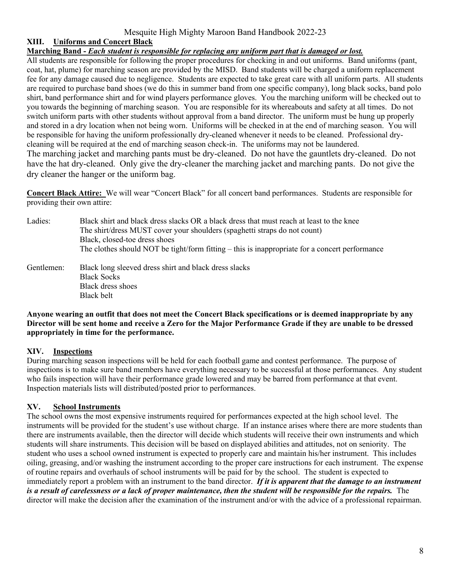# **XIII. Uniforms and Concert Black**

#### **Marching Band -** *Each student is responsible for replacing any uniform part that is damaged or lost.*

All students are responsible for following the proper procedures for checking in and out uniforms. Band uniforms (pant, coat, hat, plume) for marching season are provided by the MISD. Band students will be charged a uniform replacement fee for any damage caused due to negligence. Students are expected to take great care with all uniform parts. All students are required to purchase band shoes (we do this in summer band from one specific company), long black socks, band polo shirt, band performance shirt and for wind players performance gloves. You the marching uniform will be checked out to you towards the beginning of marching season. You are responsible for its whereabouts and safety at all times. Do not switch uniform parts with other students without approval from a band director. The uniform must be hung up properly and stored in a dry location when not being worn. Uniforms will be checked in at the end of marching season. You will be responsible for having the uniform professionally dry-cleaned whenever it needs to be cleaned. Professional drycleaning will be required at the end of marching season check-in. The uniforms may not be laundered. The marching jacket and marching pants must be dry-cleaned. Do not have the gauntlets dry-cleaned. Do not have the hat dry-cleaned. Only give the dry-cleaner the marching jacket and marching pants. Do not give the dry cleaner the hanger or the uniform bag.

**Concert Black Attire:** We will wear "Concert Black" for all concert band performances. Students are responsible for providing their own attire:

- Ladies: Black shirt and black dress slacks OR a black dress that must reach at least to the knee The shirt/dress MUST cover your shoulders (spaghetti straps do not count) Black, closed-toe dress shoes The clothes should NOT be tight/form fitting  $-$  this is inappropriate for a concert performance
- Gentlemen: Black long sleeved dress shirt and black dress slacks Black Socks Black dress shoes Black belt

#### **Anyone wearing an outfit that does not meet the Concert Black specifications or is deemed inappropriate by any Director will be sent home and receive a Zero for the Major Performance Grade if they are unable to be dressed appropriately in time for the performance.**

# **XIV. Inspections**

During marching season inspections will be held for each football game and contest performance. The purpose of inspections is to make sure band members have everything necessary to be successful at those performances. Any student who fails inspection will have their performance grade lowered and may be barred from performance at that event. Inspection materials lists will distributed/posted prior to performances.

# **XV. School Instruments**

The school owns the most expensive instruments required for performances expected at the high school level. The instruments will be provided for the student's use without charge. If an instance arises where there are more students than there are instruments available, then the director will decide which students will receive their own instruments and which students will share instruments. This decision will be based on displayed abilities and attitudes, not on seniority. The student who uses a school owned instrument is expected to properly care and maintain his/her instrument. This includes oiling, greasing, and/or washing the instrument according to the proper care instructions for each instrument. The expense of routine repairs and overhauls of school instruments will be paid for by the school. The student is expected to immediately report a problem with an instrument to the band director. *If it is apparent that the damage to an instrument is a result of carelessness or a lack of proper maintenance, then the student will be responsible for the repairs.* The director will make the decision after the examination of the instrument and/or with the advice of a professional repairman.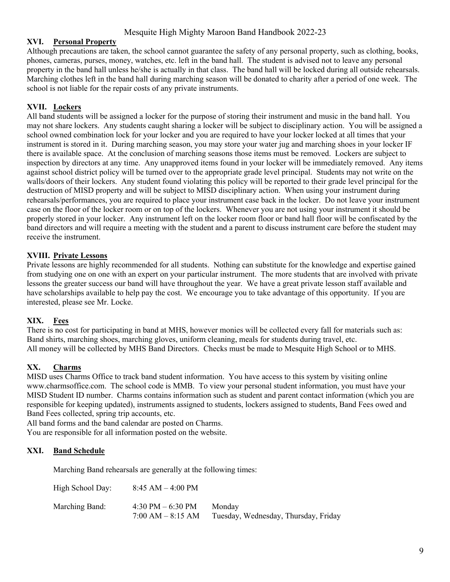# **XVI. Personal Property**

Although precautions are taken, the school cannot guarantee the safety of any personal property, such as clothing, books, phones, cameras, purses, money, watches, etc. left in the band hall. The student is advised not to leave any personal property in the band hall unless he/she is actually in that class. The band hall will be locked during all outside rehearsals. Marching clothes left in the band hall during marching season will be donated to charity after a period of one week. The school is not liable for the repair costs of any private instruments.

# **XVII. Lockers**

All band students will be assigned a locker for the purpose of storing their instrument and music in the band hall. You may not share lockers. Any students caught sharing a locker will be subject to disciplinary action. You will be assigned a school owned combination lock for your locker and you are required to have your locker locked at all times that your instrument is stored in it. During marching season, you may store your water jug and marching shoes in your locker IF there is available space. At the conclusion of marching seasons those items must be removed. Lockers are subject to inspection by directors at any time. Any unapproved items found in your locker will be immediately removed. Any items against school district policy will be turned over to the appropriate grade level principal. Students may not write on the walls/doors of their lockers. Any student found violating this policy will be reported to their grade level principal for the destruction of MISD property and will be subject to MISD disciplinary action. When using your instrument during rehearsals/performances, you are required to place your instrument case back in the locker. Do not leave your instrument case on the floor of the locker room or on top of the lockers. Whenever you are not using your instrument it should be properly stored in your locker. Any instrument left on the locker room floor or band hall floor will be confiscated by the band directors and will require a meeting with the student and a parent to discuss instrument care before the student may receive the instrument.

# **XVIII. Private Lessons**

Private lessons are highly recommended for all students. Nothing can substitute for the knowledge and expertise gained from studying one on one with an expert on your particular instrument. The more students that are involved with private lessons the greater success our band will have throughout the year. We have a great private lesson staff available and have scholarships available to help pay the cost. We encourage you to take advantage of this opportunity. If you are interested, please see Mr. Locke.

# **XIX. Fees**

There is no cost for participating in band at MHS, however monies will be collected every fall for materials such as: Band shirts, marching shoes, marching gloves, uniform cleaning, meals for students during travel, etc. All money will be collected by MHS Band Directors. Checks must be made to Mesquite High School or to MHS.

# **XX. Charms**

MISD uses Charms Office to track band student information. You have access to this system by visiting online www.charmsoffice.com. The school code is MMB. To view your personal student information, you must have your MISD Student ID number. Charms contains information such as student and parent contact information (which you are responsible for keeping updated), instruments assigned to students, lockers assigned to students, Band Fees owed and Band Fees collected, spring trip accounts, etc.

All band forms and the band calendar are posted on Charms. You are responsible for all information posted on the website.

# **XXI. Band Schedule**

Marching Band rehearsals are generally at the following times:

| High School Day: | $8:45$ AM $-$ 4:00 PM                     |                                                |
|------------------|-------------------------------------------|------------------------------------------------|
| Marching Band:   | 4:30 PM $-6:30$ PM<br>$7:00 AM - 8:15 AM$ | Monday<br>Tuesday, Wednesday, Thursday, Friday |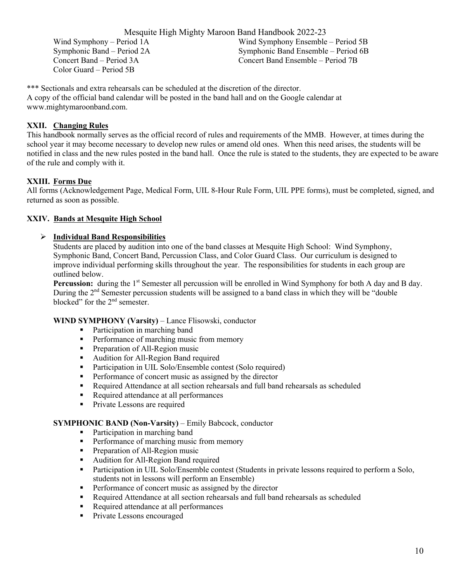Mesquite High Mighty Maroon Band Handbook 2022-23 Wind Symphony – Period 1A Wind Symphony Ensemble – Period 5B Symphonic Band – Period 2A Symphonic Band Ensemble – Period 6B Concert Band – Period 3A Concert Band Ensemble – Period 7B Color Guard – Period 5B

\*\*\* Sectionals and extra rehearsals can be scheduled at the discretion of the director. A copy of the official band calendar will be posted in the band hall and on the Google calendar at www.mightymaroonband.com.

# **XXII. Changing Rules**

This handbook normally serves as the official record of rules and requirements of the MMB. However, at times during the school year it may become necessary to develop new rules or amend old ones. When this need arises, the students will be notified in class and the new rules posted in the band hall. Once the rule is stated to the students, they are expected to be aware of the rule and comply with it.

# **XXIII. Forms Due**

All forms (Acknowledgement Page, Medical Form, UIL 8-Hour Rule Form, UIL PPE forms), must be completed, signed, and returned as soon as possible.

# **XXIV. Bands at Mesquite High School**

# Ø **Individual Band Responsibilities**

Students are placed by audition into one of the band classes at Mesquite High School: Wind Symphony, Symphonic Band, Concert Band, Percussion Class, and Color Guard Class. Our curriculum is designed to improve individual performing skills throughout the year. The responsibilities for students in each group are outlined below.

**Percussion:** during the 1<sup>st</sup> Semester all percussion will be enrolled in Wind Symphony for both A day and B day. During the 2<sup>nd</sup> Semester percussion students will be assigned to a band class in which they will be "double" blocked" for the 2<sup>nd</sup> semester.

# **WIND SYMPHONY (Varsity)** – Lance Flisowski, conductor

- Participation in marching band
- Performance of marching music from memory
- Preparation of All-Region music
- Audition for All-Region Band required
- Participation in UIL Solo/Ensemble contest (Solo required)
- Performance of concert music as assigned by the director
- Required Attendance at all section rehearsals and full band rehearsals as scheduled
- Required attendance at all performances
- Private Lessons are required

# **SYMPHONIC BAND (Non-Varsity)** – Emily Babcock, conductor

- Participation in marching band
- Performance of marching music from memory
- Preparation of All-Region music
- Audition for All-Region Band required
- Participation in UIL Solo/Ensemble contest (Students in private lessons required to perform a Solo, students not in lessons will perform an Ensemble)
- Performance of concert music as assigned by the director
- Required Attendance at all section rehearsals and full band rehearsals as scheduled
- Required attendance at all performances
- Private Lessons encouraged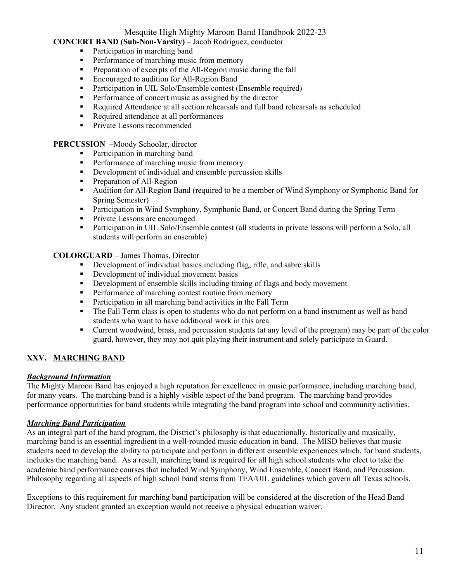# **CONCERT BAND (Sub-Non-Varsity)** – Jacob Rodriguez, conductor

- Participation in marching band
- Performance of marching music from memory
- **•** Preparation of excerpts of the All-Region music during the fall
- Encouraged to audition for All-Region Band
- Participation in UIL Solo/Ensemble contest (Ensemble required)
- Performance of concert music as assigned by the director
- Required Attendance at all section rehearsals and full band rehearsals as scheduled
- Required attendance at all performances
- Private Lessons recommended

#### **PERCUSSION** –Moody Schoolar, director

- Participation in marching band
- Performance of marching music from memory
- Development of individual and ensemble percussion skills
- Preparation of All-Region
- Audition for All-Region Band (required to be a member of Wind Symphony or Symphonic Band for Spring Semester)
- Participation in Wind Symphony, Symphonic Band, or Concert Band during the Spring Term
- Private Lessons are encouraged
- Participation in UIL Solo/Ensemble contest (all students in private lessons will perform a Solo, all students will perform an ensemble)

**COLORGUARD** – James Thomas, Director

- Development of individual basics including flag, rifle, and sabre skills
- Development of individual movement basics
- Development of ensemble skills including timing of flags and body movement
- Performance of marching contest routine from memory
- Participation in all marching band activities in the Fall Term
- The Fall Term class is open to students who do not perform on a band instrument as well as band students who want to have additional work in this area.
- Current woodwind, brass, and percussion students (at any level of the program) may be part of the color guard, however, they may not quit playing their instrument and solely participate in Guard.

# **XXV. MARCHING BAND**

# *Background Information*

The Mighty Maroon Band has enjoyed a high reputation for excellence in music performance, including marching band, for many years. The marching band is a highly visible aspect of the band program. The marching band provides performance opportunities for band students while integrating the band program into school and community activities.

# *Marching Band Participation*

As an integral part of the band program, the District's philosophy is that educationally, historically and musically, marching band is an essential ingredient in a well-rounded music education in band. The MISD believes that music students need to develop the ability to participate and perform in different ensemble experiences which, for band students, includes the marching band. As a result, marching band is required for all high school students who elect to take the academic band performance courses that included Wind Symphony, Wind Ensemble, Concert Band, and Percussion. Philosophy regarding all aspects of high school band stems from TEA/UIL guidelines which govern all Texas schools.

Exceptions to this requirement for marching band participation will be considered at the discretion of the Head Band Director. Any student granted an exception would not receive a physical education waiver.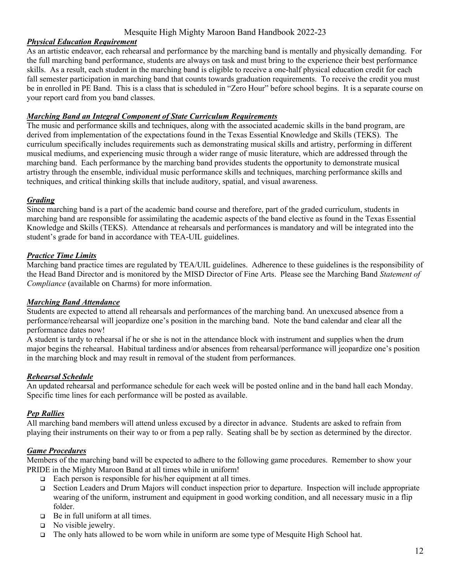#### *Physical Education Requirement*

As an artistic endeavor, each rehearsal and performance by the marching band is mentally and physically demanding. For the full marching band performance, students are always on task and must bring to the experience their best performance skills. As a result, each student in the marching band is eligible to receive a one-half physical education credit for each fall semester participation in marching band that counts towards graduation requirements. To receive the credit you must be in enrolled in PE Band. This is a class that is scheduled in "Zero Hour" before school begins. It is a separate course on your report card from you band classes.

#### *Marching Band an Integral Component of State Curriculum Requirements*

The music and performance skills and techniques, along with the associated academic skills in the band program, are derived from implementation of the expectations found in the Texas Essential Knowledge and Skills (TEKS). The curriculum specifically includes requirements such as demonstrating musical skills and artistry, performing in different musical mediums, and experiencing music through a wider range of music literature, which are addressed through the marching band. Each performance by the marching band provides students the opportunity to demonstrate musical artistry through the ensemble, individual music performance skills and techniques, marching performance skills and techniques, and critical thinking skills that include auditory, spatial, and visual awareness.

# *Grading*

Since marching band is a part of the academic band course and therefore, part of the graded curriculum, students in marching band are responsible for assimilating the academic aspects of the band elective as found in the Texas Essential Knowledge and Skills (TEKS). Attendance at rehearsals and performances is mandatory and will be integrated into the student's grade for band in accordance with TEA-UIL guidelines.

#### *Practice Time Limits*

Marching band practice times are regulated by TEA/UIL guidelines. Adherence to these guidelines is the responsibility of the Head Band Director and is monitored by the MISD Director of Fine Arts. Please see the Marching Band *Statement of Compliance* (available on Charms) for more information.

#### *Marching Band Attendance*

Students are expected to attend all rehearsals and performances of the marching band. An unexcused absence from a performance/rehearsal will jeopardize one's position in the marching band. Note the band calendar and clear all the performance dates now!

A student is tardy to rehearsal if he or she is not in the attendance block with instrument and supplies when the drum major begins the rehearsal. Habitual tardiness and/or absences from rehearsal/performance will jeopardize one's position in the marching block and may result in removal of the student from performances.

# *Rehearsal Schedule*

An updated rehearsal and performance schedule for each week will be posted online and in the band hall each Monday. Specific time lines for each performance will be posted as available.

# *Pep Rallies*

All marching band members will attend unless excused by a director in advance. Students are asked to refrain from playing their instruments on their way to or from a pep rally. Seating shall be by section as determined by the director.

#### *Game Procedures*

Members of the marching band will be expected to adhere to the following game procedures. Remember to show your PRIDE in the Mighty Maroon Band at all times while in uniform!

- $\Box$  Each person is responsible for his/her equipment at all times.
- □ Section Leaders and Drum Majors will conduct inspection prior to departure. Inspection will include appropriate wearing of the uniform, instrument and equipment in good working condition, and all necessary music in a flip folder.
- $\Box$  Be in full uniform at all times.
- $\Box$  No visible jewelry.
- $\Box$  The only hats allowed to be worn while in uniform are some type of Mesquite High School hat.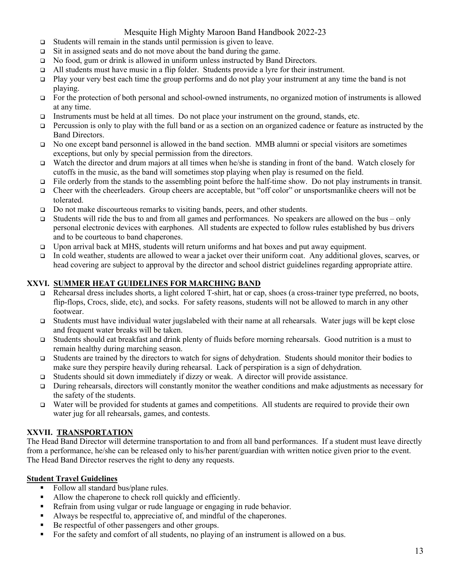- $\Box$  Students will remain in the stands until permission is given to leave.
- $\Box$  Sit in assigned seats and do not move about the band during the game.
- q No food, gum or drink is allowed in uniform unless instructed by Band Directors.
- $\Box$  All students must have music in a flip folder. Students provide a lyre for their instrument.
- $\Box$  Play your very best each time the group performs and do not play your instrument at any time the band is not playing.
- $\Box$  For the protection of both personal and school-owned instruments, no organized motion of instruments is allowed at any time.
- Instruments must be held at all times. Do not place your instrument on the ground, stands, etc.
- $\Box$  Percussion is only to play with the full band or as a section on an organized cadence or feature as instructed by the Band Directors.
- q No one except band personnel is allowed in the band section. MMB alumni or special visitors are sometimes exceptions, but only by special permission from the directors.
- q Watch the director and drum majors at all times when he/she is standing in front of the band. Watch closely for cutoffs in the music, as the band will sometimes stop playing when play is resumed on the field.
- □ File orderly from the stands to the assembling point before the half-time show. Do not play instruments in transit.
- q Cheer with the cheerleaders. Group cheers are acceptable, but "off color" or unsportsmanlike cheers will not be tolerated.
- $\Box$  Do not make discourteous remarks to visiting bands, peers, and other students.
- $\Box$  Students will ride the bus to and from all games and performances. No speakers are allowed on the bus only personal electronic devices with earphones. All students are expected to follow rules established by bus drivers and to be courteous to band chaperones.
- □ Upon arrival back at MHS, students will return uniforms and hat boxes and put away equipment.
- q In cold weather, students are allowed to wear a jacket over their uniform coat. Any additional gloves, scarves, or head covering are subject to approval by the director and school district guidelines regarding appropriate attire.

# **XXVI. SUMMER HEAT GUIDELINES FOR MARCHING BAND**

- $\Box$  Rehearsal dress includes shorts, a light colored T-shirt, hat or cap, shoes (a cross-trainer type preferred, no boots, flip-flops, Crocs, slide, etc), and socks. For safety reasons, students will not be allowed to march in any other footwear.
- q Students must have individual water jugslabeled with their name at all rehearsals. Water jugs will be kept close and frequent water breaks will be taken.
- q Students should eat breakfast and drink plenty of fluids before morning rehearsals. Good nutrition is a must to remain healthy during marching season.
- q Students are trained by the directors to watch for signs of dehydration. Students should monitor their bodies to make sure they perspire heavily during rehearsal. Lack of perspiration is a sign of dehydration.
- $\Box$  Students should sit down immediately if dizzy or weak. A director will provide assistance.
- q During rehearsals, directors will constantly monitor the weather conditions and make adjustments as necessary for the safety of the students.
- Water will be provided for students at games and competitions. All students are required to provide their own water jug for all rehearsals, games, and contests.

# **XXVII. TRANSPORTATION**

The Head Band Director will determine transportation to and from all band performances. If a student must leave directly from a performance, he/she can be released only to his/her parent/guardian with written notice given prior to the event. The Head Band Director reserves the right to deny any requests.

# **Student Travel Guidelines**

- § Follow all standard bus/plane rules.
- Allow the chaperone to check roll quickly and efficiently.
- Refrain from using vulgar or rude language or engaging in rude behavior.
- Always be respectful to, appreciative of, and mindful of the chaperones.
- Be respectful of other passengers and other groups.
- For the safety and comfort of all students, no playing of an instrument is allowed on a bus.